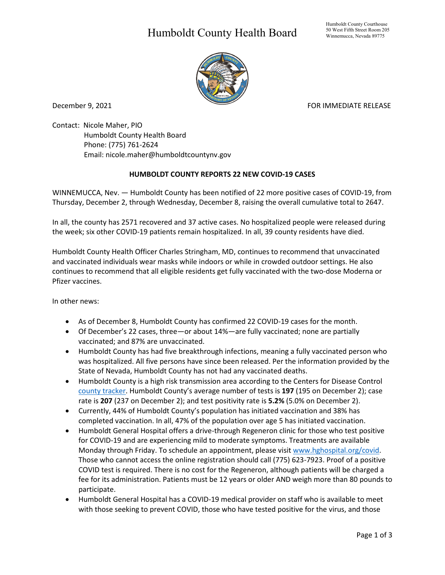## Humboldt County Health Board



December 9, 2021 **FOR IMMEDIATE RELEASE** 

Contact: Nicole Maher, PIO Humboldt County Health Board Phone: (775) 761-2624 Email: nicole.maher@humboldtcountynv.gov

## **HUMBOLDT COUNTY REPORTS 22 NEW COVID-19 CASES**

WINNEMUCCA, Nev. — Humboldt County has been notified of 22 more positive cases of COVID-19, from Thursday, December 2, through Wednesday, December 8, raising the overall cumulative total to 2647.

In all, the county has 2571 recovered and 37 active cases. No hospitalized people were released during the week; six other COVID-19 patients remain hospitalized. In all, 39 county residents have died.

Humboldt County Health Officer Charles Stringham, MD, continues to recommend that unvaccinated and vaccinated individuals wear masks while indoors or while in crowded outdoor settings. He also continues to recommend that all eligible residents get fully vaccinated with the two-dose Moderna or Pfizer vaccines.

In other news:

- As of December 8, Humboldt County has confirmed 22 COVID-19 cases for the month.
- Of December's 22 cases, three—or about 14%—are fully vaccinated; none are partially vaccinated; and 87% are unvaccinated.
- Humboldt County has had five breakthrough infections, meaning a fully vaccinated person who was hospitalized. All five persons have since been released. Per the information provided by the State of Nevada, Humboldt County has not had any vaccinated deaths.
- Humboldt County is a high risk transmission area according to the Centers for Disease Control [county tracker.](https://covid.cdc.gov/covid-data-tracker/#county-view) Humboldt County's average number of tests is **197** (195 on December 2); case rate is **207** (237 on December 2); and test positivity rate is **5.2%** (5.0% on December 2).
- Currently, 44% of Humboldt County's population has initiated vaccination and 38% has completed vaccination. In all, 47% of the population over age 5 has initiated vaccination.
- Humboldt General Hospital offers a drive-through Regeneron clinic for those who test positive for COVID-19 and are experiencing mild to moderate symptoms. Treatments are available Monday through Friday. To schedule an appointment, please visit www.hghospital.org/covid. Those who cannot access the online registration should call (775) 623-7923. Proof of a positive COVID test is required. There is no cost for the Regeneron, although patients will be charged a fee for its administration. Patients must be 12 years or older AND weigh more than 80 pounds to participate.
- Humboldt General Hospital has a COVID-19 medical provider on staff who is available to meet with those seeking to prevent COVID, those who have tested positive for the virus, and those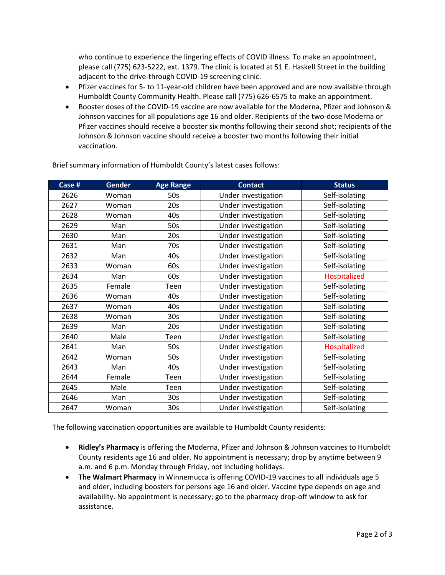who continue to experience the lingering effects of COVID illness. To make an appointment, please call (775) 623-5222, ext. 1379. The clinic is located at 51 E. Haskell Street in the building adjacent to the drive-through COVID-19 screening clinic.

- Pfizer vaccines for 5- to 11-year-old children have been approved and are now available through Humboldt County Community Health. Please call (775) 626-6575 to make an appointment.
- Booster doses of the COVID-19 vaccine are now available for the Moderna, Pfizer and Johnson & Johnson vaccines for all populations age 16 and older. Recipients of the two-dose Moderna or Pfizer vaccines should receive a booster six months following their second shot; recipients of the Johnson & Johnson vaccine should receive a booster two months following their initial vaccination.

| Case # | <b>Gender</b> | <b>Age Range</b> | <b>Contact</b>      | <b>Status</b>  |
|--------|---------------|------------------|---------------------|----------------|
| 2626   | Woman         | 50s              | Under investigation | Self-isolating |
| 2627   | Woman         | 20s              | Under investigation | Self-isolating |
| 2628   | Woman         | 40s              | Under investigation | Self-isolating |
| 2629   | Man           | 50s              | Under investigation | Self-isolating |
| 2630   | Man           | 20s              | Under investigation | Self-isolating |
| 2631   | Man           | 70s              | Under investigation | Self-isolating |
| 2632   | Man           | 40s              | Under investigation | Self-isolating |
| 2633   | Woman         | 60s              | Under investigation | Self-isolating |
| 2634   | Man           | 60s              | Under investigation | Hospitalized   |
| 2635   | Female        | Teen             | Under investigation | Self-isolating |
| 2636   | Woman         | 40s              | Under investigation | Self-isolating |
| 2637   | Woman         | 40s              | Under investigation | Self-isolating |
| 2638   | Woman         | 30 <sub>s</sub>  | Under investigation | Self-isolating |
| 2639   | Man           | 20s              | Under investigation | Self-isolating |
| 2640   | Male          | Teen             | Under investigation | Self-isolating |
| 2641   | Man           | 50s              | Under investigation | Hospitalized   |
| 2642   | Woman         | 50s              | Under investigation | Self-isolating |
| 2643   | Man           | 40s              | Under investigation | Self-isolating |
| 2644   | Female        | Teen             | Under investigation | Self-isolating |
| 2645   | Male          | Teen             | Under investigation | Self-isolating |
| 2646   | Man           | 30 <sub>s</sub>  | Under investigation | Self-isolating |
| 2647   | Woman         | 30 <sub>s</sub>  | Under investigation | Self-isolating |

Brief summary information of Humboldt County's latest cases follows:

The following vaccination opportunities are available to Humboldt County residents:

- **Ridley's Pharmacy** is offering the Moderna, Pfizer and Johnson & Johnson vaccines to Humboldt County residents age 16 and older. No appointment is necessary; drop by anytime between 9 a.m. and 6 p.m. Monday through Friday, not including holidays.
- **The Walmart Pharmacy** in Winnemucca is offering COVID-19 vaccines to all individuals age 5 and older, including boosters for persons age 16 and older. Vaccine type depends on age and availability. No appointment is necessary; go to the pharmacy drop-off window to ask for assistance.